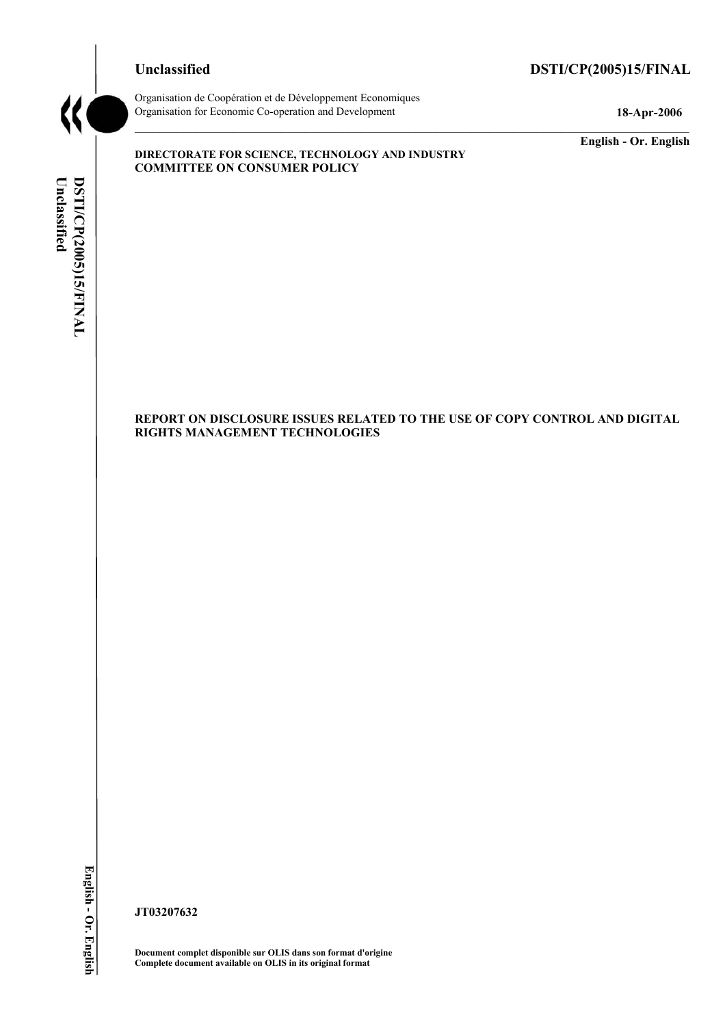# **Unclassified DSTI/CP(2005)15/FINAL**



Organisation de CoopÈration et de DÈveloppement Economiques Organisation for Economic Co-operation and Development **18-Apr-2006** 

**COMMITTEE ON CONSUMER POLICY** 

**DIRECTORATE FOR SCIENCE, TECHNOLOGY AND INDUSTRY** 

**English - Or. English** 

# Unclassified DSTI/CP(2005)15/FINAL **Unclassified DSTI/CP(2005)15/FINAL English - Or. English**

# **REPORT ON DISCLOSURE ISSUES RELATED TO THE USE OF COPY CONTROL AND DIGITAL RIGHTS MANAGEMENT TECHNOLOGIES**

**JT03207632** 

**Document complet disponible sur OLIS dans son format d'origine Complete document available on OLIS in its original format**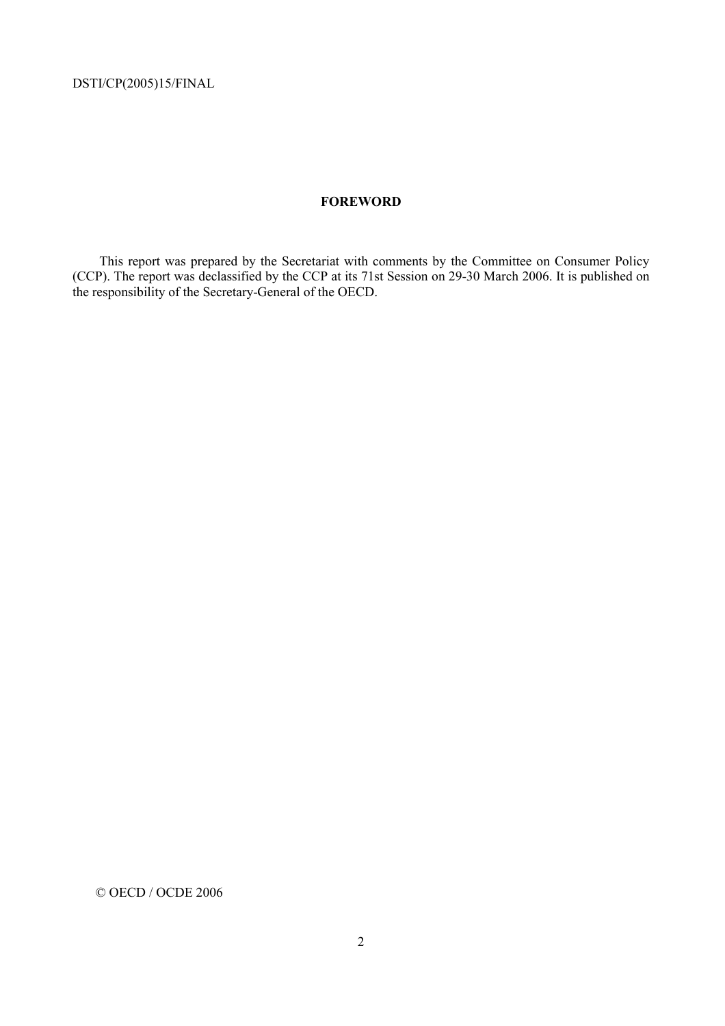# **FOREWORD**

This report was prepared by the Secretariat with comments by the Committee on Consumer Policy (CCP). The report was declassified by the CCP at its 71st Session on 29-30 March 2006. It is published on the responsibility of the Secretary-General of the OECD.

© OECD / OCDE 2006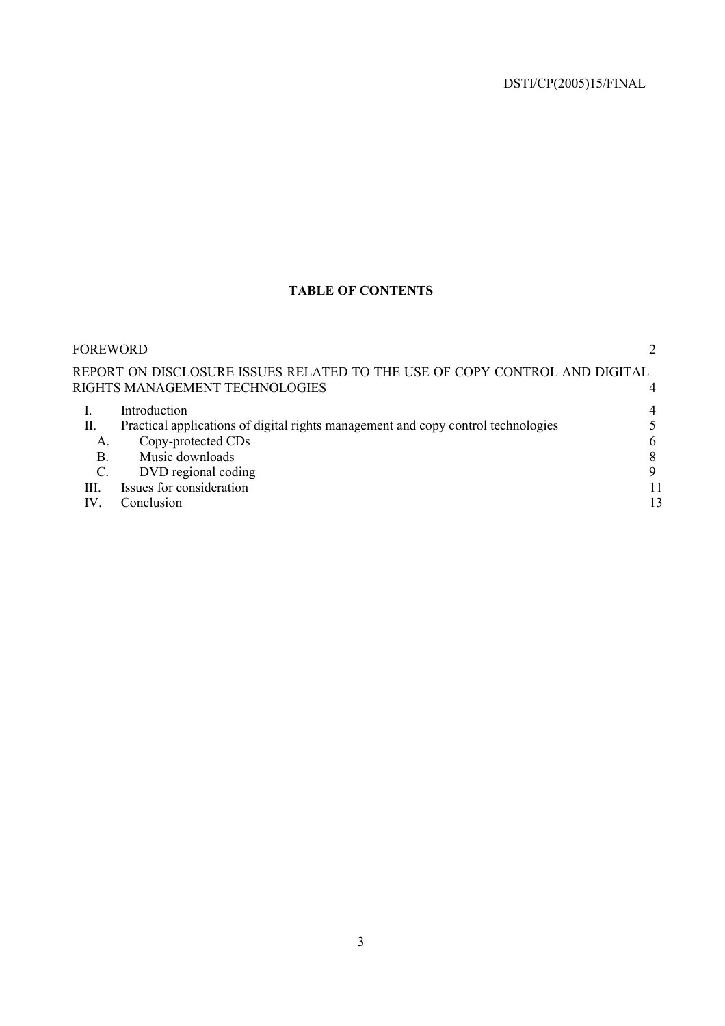# **TABLE OF CONTENTS**

| FOREWORD        |                                                                                   |    |
|-----------------|-----------------------------------------------------------------------------------|----|
|                 | REPORT ON DISCLOSURE ISSUES RELATED TO THE USE OF COPY CONTROL AND DIGITAL        |    |
|                 | RIGHTS MANAGEMENT TECHNOLOGIES                                                    |    |
|                 | Introduction                                                                      | 4  |
| П.              | Practical applications of digital rights management and copy control technologies |    |
| A.              | Copy-protected CDs                                                                | 6  |
| B.              | Music downloads                                                                   | 8  |
| $\mathcal{C}$ . | DVD regional coding                                                               | 9  |
| HI.             | Issues for consideration                                                          | 11 |
| IV              | Conclusion                                                                        | 13 |
|                 |                                                                                   |    |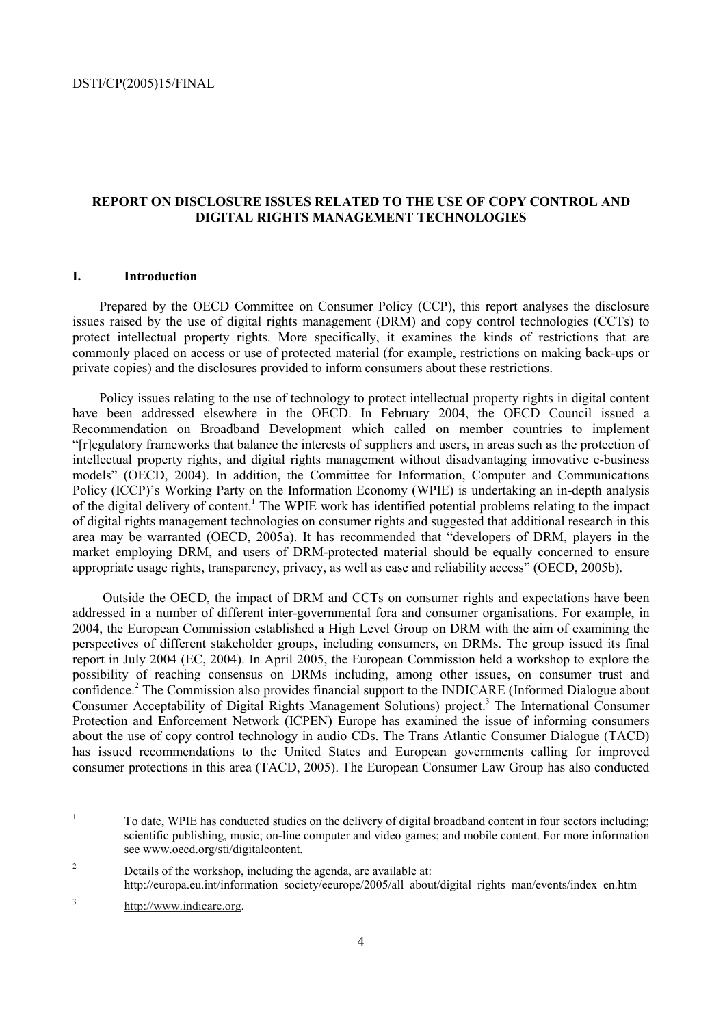# **REPORT ON DISCLOSURE ISSUES RELATED TO THE USE OF COPY CONTROL AND DIGITAL RIGHTS MANAGEMENT TECHNOLOGIES**

# **I. Introduction**

Prepared by the OECD Committee on Consumer Policy (CCP), this report analyses the disclosure issues raised by the use of digital rights management (DRM) and copy control technologies (CCTs) to protect intellectual property rights. More specifically, it examines the kinds of restrictions that are commonly placed on access or use of protected material (for example, restrictions on making back-ups or private copies) and the disclosures provided to inform consumers about these restrictions.

Policy issues relating to the use of technology to protect intellectual property rights in digital content have been addressed elsewhere in the OECD. In February 2004, the OECD Council issued a Recommendation on Broadband Development which called on member countries to implement ì[r]egulatory frameworks that balance the interests of suppliers and users, in areas such as the protection of intellectual property rights, and digital rights management without disadvantaging innovative e-business modelsî (OECD, 2004). In addition, the Committee for Information, Computer and Communications Policy (ICCP)'s Working Party on the Information Economy (WPIE) is undertaking an in-depth analysis of the digital delivery of content.<sup>1</sup> The WPIE work has identified potential problems relating to the impact of digital rights management technologies on consumer rights and suggested that additional research in this area may be warranted (OECD, 2005a). It has recommended that "developers of DRM, players in the market employing DRM, and users of DRM-protected material should be equally concerned to ensure appropriate usage rights, transparency, privacy, as well as ease and reliability access" (OECD, 2005b).

 Outside the OECD, the impact of DRM and CCTs on consumer rights and expectations have been addressed in a number of different inter-governmental fora and consumer organisations. For example, in 2004, the European Commission established a High Level Group on DRM with the aim of examining the perspectives of different stakeholder groups, including consumers, on DRMs. The group issued its final report in July 2004 (EC, 2004). In April 2005, the European Commission held a workshop to explore the possibility of reaching consensus on DRMs including, among other issues, on consumer trust and confidence.<sup>2</sup> The Commission also provides financial support to the INDICARE (Informed Dialogue about Consumer Acceptability of Digital Rights Management Solutions) project.<sup>3</sup> The International Consumer Protection and Enforcement Network (ICPEN) Europe has examined the issue of informing consumers about the use of copy control technology in audio CDs. The Trans Atlantic Consumer Dialogue (TACD) has issued recommendations to the United States and European governments calling for improved consumer protections in this area (TACD, 2005). The European Consumer Law Group has also conducted

<sup>|&</sup>lt;br>|<br>| To date, WPIE has conducted studies on the delivery of digital broadband content in four sectors including; scientific publishing, music; on-line computer and video games; and mobile content. For more information see www.oecd.org/sti/digitalcontent.

<sup>2</sup> Details of the workshop, including the agenda, are available at: http://europa.eu.int/information\_society/eeurope/2005/all\_about/digital\_rights\_man/events/index\_en.htm

<sup>3</sup> http://www.indicare.org.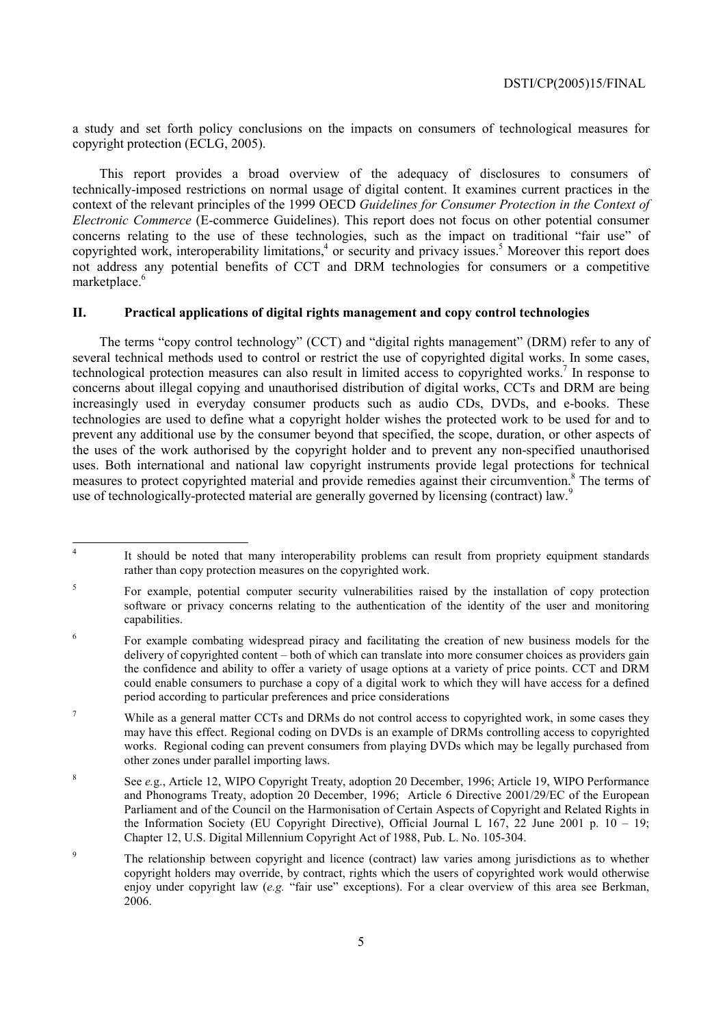a study and set forth policy conclusions on the impacts on consumers of technological measures for copyright protection (ECLG, 2005).

This report provides a broad overview of the adequacy of disclosures to consumers of technically-imposed restrictions on normal usage of digital content. It examines current practices in the context of the relevant principles of the 1999 OECD *Guidelines for Consumer Protection in the Context of Electronic Commerce* (E-commerce Guidelines). This report does not focus on other potential consumer concerns relating to the use of these technologies, such as the impact on traditional "fair use" of copyrighted work, interoperability limitations,<sup>4</sup> or security and privacy issues.<sup>5</sup> Moreover this report does not address any potential benefits of CCT and DRM technologies for consumers or a competitive marketplace.<sup>6</sup>

# **II. Practical applications of digital rights management and copy control technologies**

The terms "copy control technology" (CCT) and "digital rights management" (DRM) refer to any of several technical methods used to control or restrict the use of copyrighted digital works. In some cases, technological protection measures can also result in limited access to copyrighted works.<sup>7</sup> In response to concerns about illegal copying and unauthorised distribution of digital works, CCTs and DRM are being increasingly used in everyday consumer products such as audio CDs, DVDs, and e-books. These technologies are used to define what a copyright holder wishes the protected work to be used for and to prevent any additional use by the consumer beyond that specified, the scope, duration, or other aspects of the uses of the work authorised by the copyright holder and to prevent any non-specified unauthorised uses. Both international and national law copyright instruments provide legal protections for technical measures to protect copyrighted material and provide remedies against their circumvention.<sup>8</sup> The terms of use of technologically-protected material are generally governed by licensing (contract) law.<sup>9</sup>

 $\frac{1}{4}$  It should be noted that many interoperability problems can result from propriety equipment standards rather than copy protection measures on the copyrighted work.

<sup>5</sup> For example, potential computer security vulnerabilities raised by the installation of copy protection software or privacy concerns relating to the authentication of the identity of the user and monitoring capabilities.

<sup>6</sup> For example combating widespread piracy and facilitating the creation of new business models for the delivery of copyrighted content – both of which can translate into more consumer choices as providers gain the confidence and ability to offer a variety of usage options at a variety of price points. CCT and DRM could enable consumers to purchase a copy of a digital work to which they will have access for a defined period according to particular preferences and price considerations

<sup>7</sup> While as a general matter CCTs and DRMs do not control access to copyrighted work, in some cases they may have this effect. Regional coding on DVDs is an example of DRMs controlling access to copyrighted works. Regional coding can prevent consumers from playing DVDs which may be legally purchased from other zones under parallel importing laws.

<sup>8</sup> See *e.*g., Article 12, WIPO Copyright Treaty, adoption 20 December, 1996; Article 19, WIPO Performance and Phonograms Treaty, adoption 20 December, 1996; Article 6 Directive 2001/29/EC of the European Parliament and of the Council on the Harmonisation of Certain Aspects of Copyright and Related Rights in the Information Society (EU Copyright Directive), Official Journal L  $167$ , 22 June 2001 p.  $10 - 19$ ; Chapter 12, U.S. Digital Millennium Copyright Act of 1988, Pub. L. No. 105-304.

<sup>9</sup> The relationship between copyright and licence (contract) law varies among jurisdictions as to whether copyright holders may override, by contract, rights which the users of copyrighted work would otherwise enjoy under copyright law (e.g. "fair use" exceptions). For a clear overview of this area see Berkman, 2006.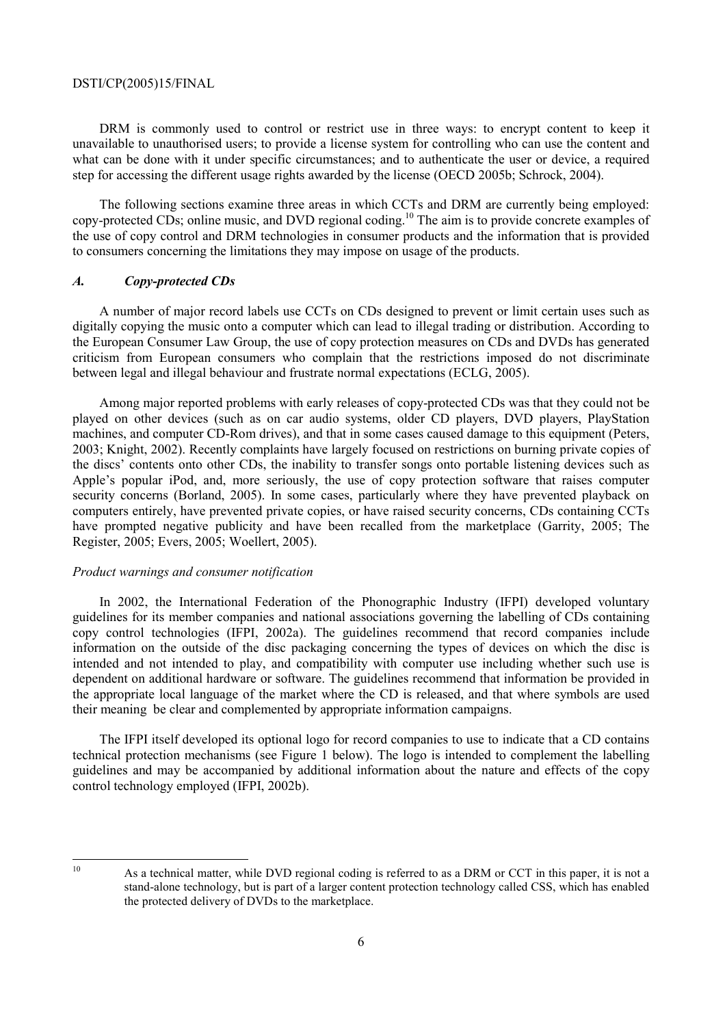DRM is commonly used to control or restrict use in three ways: to encrypt content to keep it unavailable to unauthorised users; to provide a license system for controlling who can use the content and what can be done with it under specific circumstances; and to authenticate the user or device, a required step for accessing the different usage rights awarded by the license (OECD 2005b; Schrock, 2004).

The following sections examine three areas in which CCTs and DRM are currently being employed: copy-protected CDs; online music, and DVD regional coding.10 The aim is to provide concrete examples of the use of copy control and DRM technologies in consumer products and the information that is provided to consumers concerning the limitations they may impose on usage of the products.

#### *A. Copy-protected CDs*

A number of major record labels use CCTs on CDs designed to prevent or limit certain uses such as digitally copying the music onto a computer which can lead to illegal trading or distribution. According to the European Consumer Law Group, the use of copy protection measures on CDs and DVDs has generated criticism from European consumers who complain that the restrictions imposed do not discriminate between legal and illegal behaviour and frustrate normal expectations (ECLG, 2005).

Among major reported problems with early releases of copy-protected CDs was that they could not be played on other devices (such as on car audio systems, older CD players, DVD players, PlayStation machines, and computer CD-Rom drives), and that in some cases caused damage to this equipment (Peters, 2003; Knight, 2002). Recently complaints have largely focused on restrictions on burning private copies of the discsí contents onto other CDs, the inability to transfer songs onto portable listening devices such as Apple's popular iPod, and, more seriously, the use of copy protection software that raises computer security concerns (Borland, 2005). In some cases, particularly where they have prevented playback on computers entirely, have prevented private copies, or have raised security concerns, CDs containing CCTs have prompted negative publicity and have been recalled from the marketplace (Garrity, 2005; The Register, 2005; Evers, 2005; Woellert, 2005).

#### *Product warnings and consumer notification*

In 2002, the International Federation of the Phonographic Industry (IFPI) developed voluntary guidelines for its member companies and national associations governing the labelling of CDs containing copy control technologies (IFPI, 2002a). The guidelines recommend that record companies include information on the outside of the disc packaging concerning the types of devices on which the disc is intended and not intended to play, and compatibility with computer use including whether such use is dependent on additional hardware or software. The guidelines recommend that information be provided in the appropriate local language of the market where the CD is released, and that where symbols are used their meaning be clear and complemented by appropriate information campaigns.

The IFPI itself developed its optional logo for record companies to use to indicate that a CD contains technical protection mechanisms (see Figure 1 below). The logo is intended to complement the labelling guidelines and may be accompanied by additional information about the nature and effects of the copy control technology employed (IFPI, 2002b).

 $10$ 

As a technical matter, while DVD regional coding is referred to as a DRM or CCT in this paper, it is not a stand-alone technology, but is part of a larger content protection technology called CSS, which has enabled the protected delivery of DVDs to the marketplace.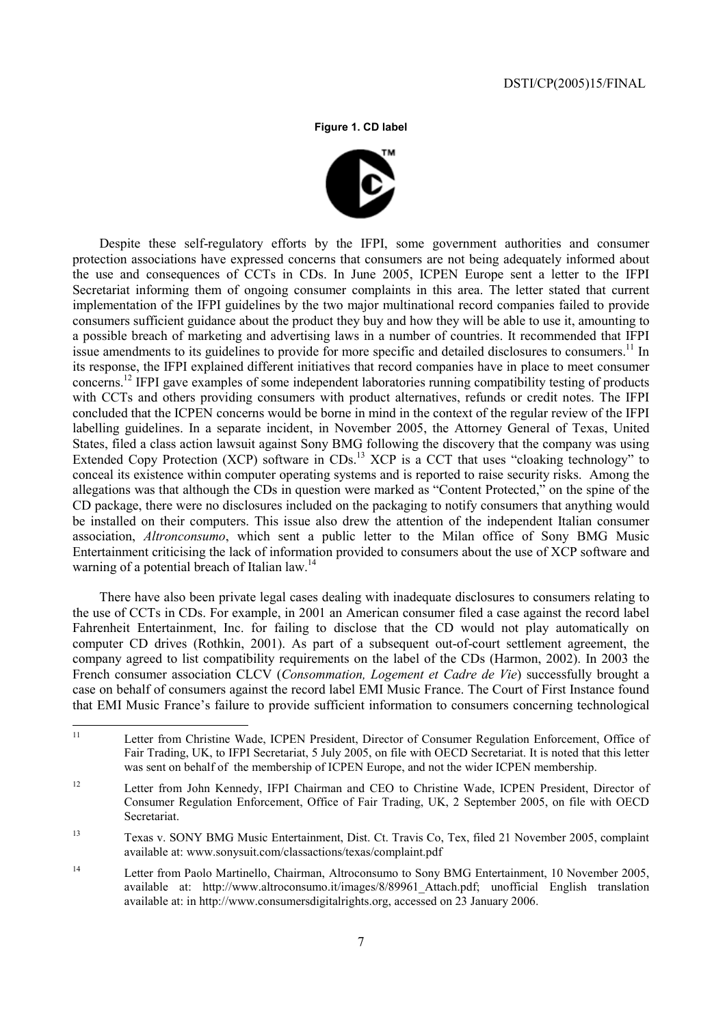**Figure 1. CD label** 



Despite these self-regulatory efforts by the IFPI, some government authorities and consumer protection associations have expressed concerns that consumers are not being adequately informed about the use and consequences of CCTs in CDs. In June 2005, ICPEN Europe sent a letter to the IFPI Secretariat informing them of ongoing consumer complaints in this area. The letter stated that current implementation of the IFPI guidelines by the two major multinational record companies failed to provide consumers sufficient guidance about the product they buy and how they will be able to use it, amounting to a possible breach of marketing and advertising laws in a number of countries. It recommended that IFPI issue amendments to its guidelines to provide for more specific and detailed disclosures to consumers.<sup>11</sup> In its response, the IFPI explained different initiatives that record companies have in place to meet consumer concerns.12 IFPI gave examples of some independent laboratories running compatibility testing of products with CCTs and others providing consumers with product alternatives, refunds or credit notes. The IFPI concluded that the ICPEN concerns would be borne in mind in the context of the regular review of the IFPI labelling guidelines. In a separate incident, in November 2005, the Attorney General of Texas, United States, filed a class action lawsuit against Sony BMG following the discovery that the company was using Extended Copy Protection (XCP) software in CDs.<sup>13</sup> XCP is a CCT that uses "cloaking technology" to conceal its existence within computer operating systems and is reported to raise security risks. Among the allegations was that although the CDs in question were marked as "Content Protected," on the spine of the CD package, there were no disclosures included on the packaging to notify consumers that anything would be installed on their computers. This issue also drew the attention of the independent Italian consumer association, *Altronconsumo*, which sent a public letter to the Milan office of Sony BMG Music Entertainment criticising the lack of information provided to consumers about the use of XCP software and warning of a potential breach of Italian law.<sup>14</sup>

There have also been private legal cases dealing with inadequate disclosures to consumers relating to the use of CCTs in CDs. For example, in 2001 an American consumer filed a case against the record label Fahrenheit Entertainment, Inc. for failing to disclose that the CD would not play automatically on computer CD drives (Rothkin, 2001). As part of a subsequent out-of-court settlement agreement, the company agreed to list compatibility requirements on the label of the CDs (Harmon, 2002). In 2003 the French consumer association CLCV (*Consommation, Logement et Cadre de Vie*) successfully brought a case on behalf of consumers against the record label EMI Music France. The Court of First Instance found that EMI Music France's failure to provide sufficient information to consumers concerning technological

<sup>12</sup> Letter from John Kennedy, IFPI Chairman and CEO to Christine Wade, ICPEN President, Director of Consumer Regulation Enforcement, Office of Fair Trading, UK, 2 September 2005, on file with OECD Secretariat.

13 Texas v. SONY BMG Music Entertainment, Dist. Ct. Travis Co, Tex, filed 21 November 2005, complaint available at: www.sonysuit.com/classactions/texas/complaint.pdf

<sup>14</sup> Letter from Paolo Martinello, Chairman, Altroconsumo to Sony BMG Entertainment, 10 November 2005, available at: http://www.altroconsumo.it/images/8/89961\_Attach.pdf; unofficial English translation available at: in http://www.consumersdigitalrights.org, accessed on 23 January 2006.

 $11$ Letter from Christine Wade, ICPEN President, Director of Consumer Regulation Enforcement, Office of Fair Trading, UK, to IFPI Secretariat, 5 July 2005, on file with OECD Secretariat. It is noted that this letter was sent on behalf of the membership of ICPEN Europe, and not the wider ICPEN membership.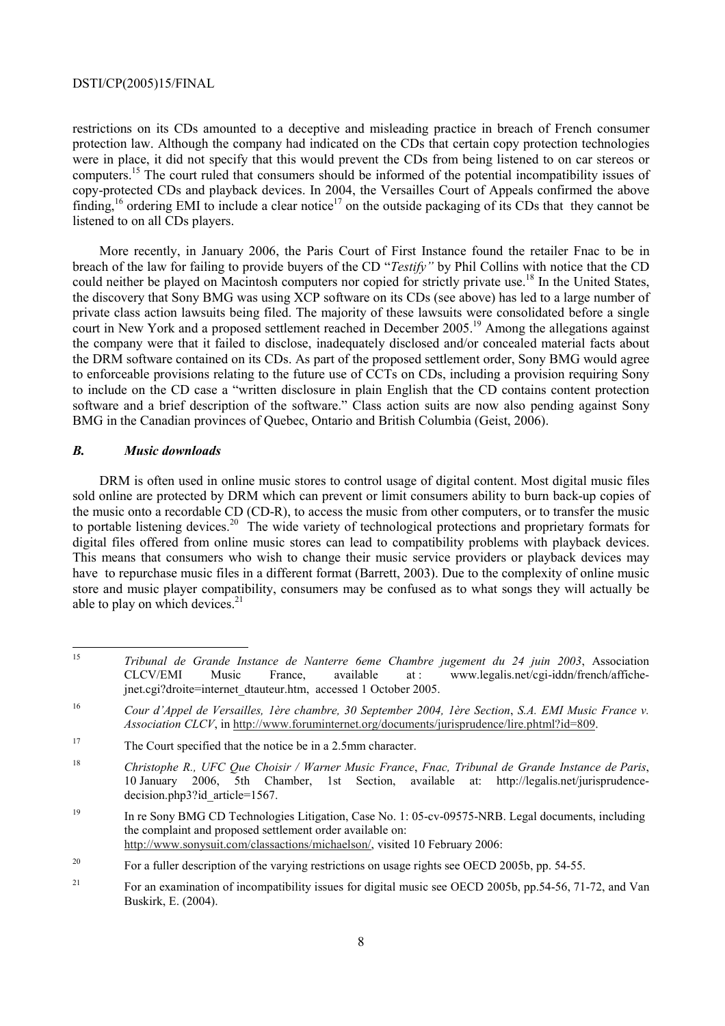restrictions on its CDs amounted to a deceptive and misleading practice in breach of French consumer protection law. Although the company had indicated on the CDs that certain copy protection technologies were in place, it did not specify that this would prevent the CDs from being listened to on car stereos or computers.15 The court ruled that consumers should be informed of the potential incompatibility issues of copy-protected CDs and playback devices. In 2004, the Versailles Court of Appeals confirmed the above finding,<sup>16</sup> ordering EMI to include a clear notice<sup>17</sup> on the outside packaging of its CDs that they cannot be listened to on all CDs players.

More recently, in January 2006, the Paris Court of First Instance found the retailer Fnac to be in breach of the law for failing to provide buyers of the CD *''Testify'* by Phil Collins with notice that the CD could neither be played on Macintosh computers nor copied for strictly private use.<sup>18</sup> In the United States, the discovery that Sony BMG was using XCP software on its CDs (see above) has led to a large number of private class action lawsuits being filed. The majority of these lawsuits were consolidated before a single court in New York and a proposed settlement reached in December 2005.<sup>19</sup> Among the allegations against the company were that it failed to disclose, inadequately disclosed and/or concealed material facts about the DRM software contained on its CDs. As part of the proposed settlement order, Sony BMG would agree to enforceable provisions relating to the future use of CCTs on CDs, including a provision requiring Sony to include on the CD case a "written disclosure in plain English that the CD contains content protection software and a brief description of the software." Class action suits are now also pending against Sony BMG in the Canadian provinces of Quebec, Ontario and British Columbia (Geist, 2006).

# *B. Music downloads*

DRM is often used in online music stores to control usage of digital content. Most digital music files sold online are protected by DRM which can prevent or limit consumers ability to burn back-up copies of the music onto a recordable CD (CD-R), to access the music from other computers, or to transfer the music to portable listening devices.<sup>20</sup> The wide variety of technological protections and proprietary formats for digital files offered from online music stores can lead to compatibility problems with playback devices. This means that consumers who wish to change their music service providers or playback devices may have to repurchase music files in a different format (Barrett, 2003). Due to the complexity of online music store and music player compatibility, consumers may be confused as to what songs they will actually be able to play on which devices. $2<sup>1</sup>$ 

<sup>15</sup> 15 *Tribunal de Grande Instance de Nanterre 6eme Chambre jugement du 24 juin 2003*, Association CLCV/EMI Music France, available at : www.legalis.net/cgi-iddn/french/affichejnet.cgi?droite=internet\_dtauteur.htm, accessed 1 October 2005.

<sup>16</sup> *Cour díAppel de Versailles, 1Ëre chambre, 30 September 2004, 1Ëre Section*, *S.A. EMI Music France v. Association CLCV*, in http://www.foruminternet.org/documents/jurisprudence/lire.phtml?id=809.

<sup>&</sup>lt;sup>17</sup> The Court specified that the notice be in a 2.5mm character.

<sup>18</sup> *Christophe R., UFC Que Choisir / Warner Music France*, *Fnac, Tribunal de Grande Instance de Paris*, 10 January 2006, 5th Chamber, 1st Section, available at: http://legalis.net/jurisprudencedecision.php3?id article=1567.

<sup>&</sup>lt;sup>19</sup> In re Sony BMG CD Technologies Litigation, Case No. 1: 05-cv-09575-NRB. Legal documents, including the complaint and proposed settlement order available on: http://www.sonysuit.com/classactions/michaelson/, visited 10 February 2006:

<sup>&</sup>lt;sup>20</sup> For a fuller description of the varying restrictions on usage rights see OECD 2005b, pp. 54-55.

<sup>&</sup>lt;sup>21</sup> For an examination of incompatibility issues for digital music see OECD 2005b, pp.54-56, 71-72, and Van Buskirk, E. (2004).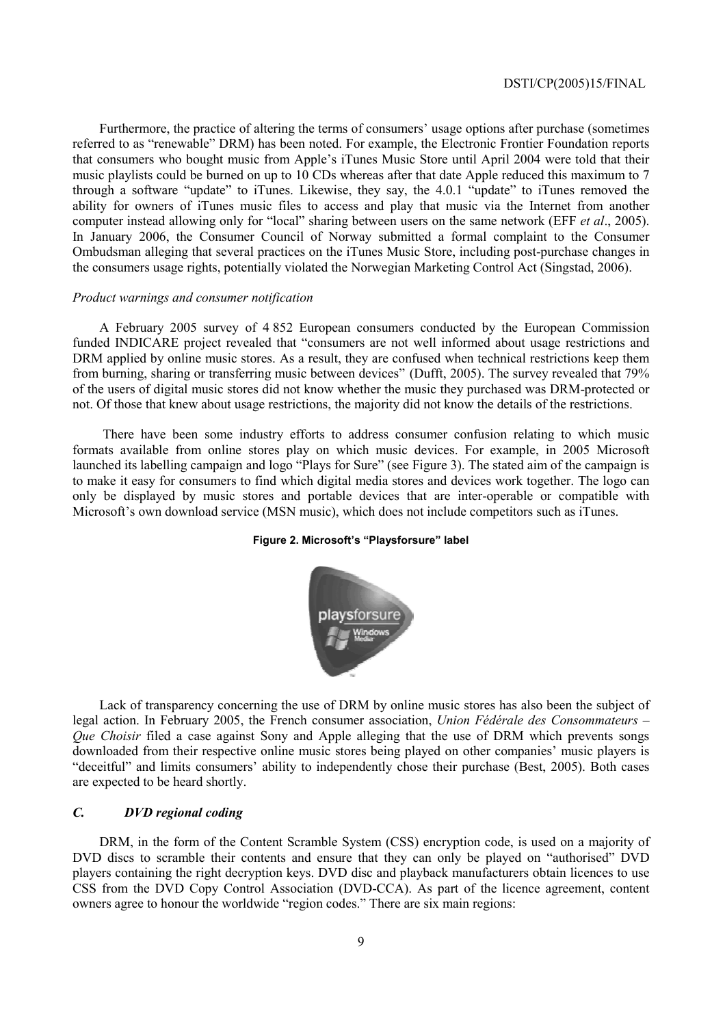Furthermore, the practice of altering the terms of consumers' usage options after purchase (sometimes referred to as "renewable" DRM) has been noted. For example, the Electronic Frontier Foundation reports that consumers who bought music from Apple's iTunes Music Store until April 2004 were told that their music playlists could be burned on up to 10 CDs whereas after that date Apple reduced this maximum to 7 through a software "update" to iTunes. Likewise, they say, the  $4.0.1$  "update" to iTunes removed the ability for owners of iTunes music files to access and play that music via the Internet from another computer instead allowing only for "local" sharing between users on the same network (EFF *et al.*, 2005). In January 2006, the Consumer Council of Norway submitted a formal complaint to the Consumer Ombudsman alleging that several practices on the iTunes Music Store, including post-purchase changes in the consumers usage rights, potentially violated the Norwegian Marketing Control Act (Singstad, 2006).

#### *Product warnings and consumer notification*

A February 2005 survey of 4 852 European consumers conducted by the European Commission funded INDICARE project revealed that "consumers are not well informed about usage restrictions and DRM applied by online music stores. As a result, they are confused when technical restrictions keep them from burning, sharing or transferring music between devices" (Dufft, 2005). The survey revealed that 79% of the users of digital music stores did not know whether the music they purchased was DRM-protected or not. Of those that knew about usage restrictions, the majority did not know the details of the restrictions.

 There have been some industry efforts to address consumer confusion relating to which music formats available from online stores play on which music devices. For example, in 2005 Microsoft launched its labelling campaign and logo "Plays for Sure" (see Figure 3). The stated aim of the campaign is to make it easy for consumers to find which digital media stores and devices work together. The logo can only be displayed by music stores and portable devices that are inter-operable or compatible with Microsoft's own download service (MSN music), which does not include competitors such as iTunes.

## Figure 2. Microsoft's "Playsforsure" label



Lack of transparency concerning the use of DRM by online music stores has also been the subject of legal action. In February 2005, the French consumer association, *Union Fédérale des Consommateurs – Que Choisir* filed a case against Sony and Apple alleging that the use of DRM which prevents songs downloaded from their respective online music stores being played on other companies' music players is ìdeceitfulî and limits consumersí ability to independently chose their purchase (Best, 2005). Both cases are expected to be heard shortly.

# *C. DVD regional coding*

DRM, in the form of the Content Scramble System (CSS) encryption code, is used on a majority of DVD discs to scramble their contents and ensure that they can only be played on "authorised" DVD players containing the right decryption keys. DVD disc and playback manufacturers obtain licences to use CSS from the DVD Copy Control Association (DVD-CCA). As part of the licence agreement, content owners agree to honour the worldwide "region codes." There are six main regions: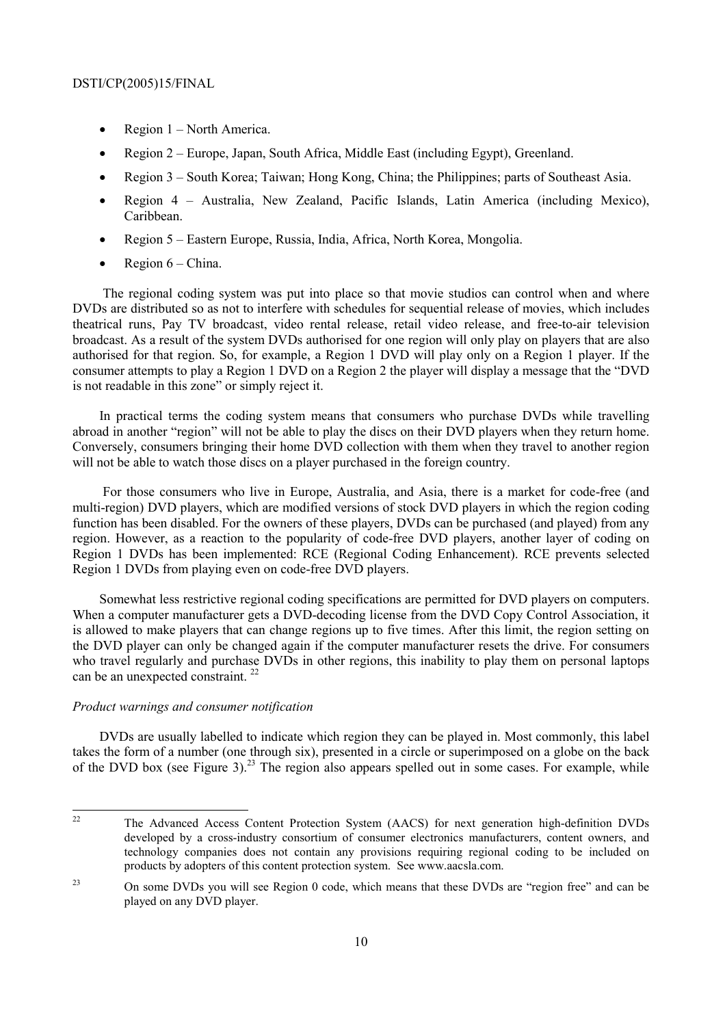- Region  $1 North America$ .
- Region 2 Europe, Japan, South Africa, Middle East (including Egypt), Greenland.
- Region  $3 -$  South Korea; Taiwan; Hong Kong, China; the Philippines; parts of Southeast Asia.
- Region  $4$  Australia, New Zealand, Pacific Islands, Latin America (including Mexico), Caribbean.
- Region 5 Eastern Europe, Russia, India, Africa, North Korea, Mongolia.
- Region  $6$  China.

 The regional coding system was put into place so that movie studios can control when and where DVDs are distributed so as not to interfere with schedules for sequential release of movies, which includes theatrical runs, Pay TV broadcast, video rental release, retail video release, and free-to-air television broadcast. As a result of the system DVDs authorised for one region will only play on players that are also authorised for that region. So, for example, a Region 1 DVD will play only on a Region 1 player. If the consumer attempts to play a Region 1 DVD on a Region 2 the player will display a message that the "DVD" is not readable in this zone" or simply reject it.

In practical terms the coding system means that consumers who purchase DVDs while travelling abroad in another "region" will not be able to play the discs on their DVD players when they return home. Conversely, consumers bringing their home DVD collection with them when they travel to another region will not be able to watch those discs on a player purchased in the foreign country.

 For those consumers who live in Europe, Australia, and Asia, there is a market for code-free (and multi-region) DVD players, which are modified versions of stock DVD players in which the region coding function has been disabled. For the owners of these players, DVDs can be purchased (and played) from any region. However, as a reaction to the popularity of code-free DVD players, another layer of coding on Region 1 DVDs has been implemented: RCE (Regional Coding Enhancement). RCE prevents selected Region 1 DVDs from playing even on code-free DVD players.

Somewhat less restrictive regional coding specifications are permitted for DVD players on computers. When a computer manufacturer gets a DVD-decoding license from the DVD Copy Control Association, it is allowed to make players that can change regions up to five times. After this limit, the region setting on the DVD player can only be changed again if the computer manufacturer resets the drive. For consumers who travel regularly and purchase DVDs in other regions, this inability to play them on personal laptops can be an unexpected constraint.<sup>22</sup>

# *Product warnings and consumer notification*

DVDs are usually labelled to indicate which region they can be played in. Most commonly, this label takes the form of a number (one through six), presented in a circle or superimposed on a globe on the back of the DVD box (see Figure 3).<sup>23</sup> The region also appears spelled out in some cases. For example, while

 $22$ 22 The Advanced Access Content Protection System (AACS) for next generation high-definition DVDs developed by a cross-industry consortium of consumer electronics manufacturers, content owners, and technology companies does not contain any provisions requiring regional coding to be included on products by adopters of this content protection system. See www.aacsla.com.

<sup>&</sup>lt;sup>23</sup> On some DVDs you will see Region 0 code, which means that these DVDs are "region free" and can be played on any DVD player.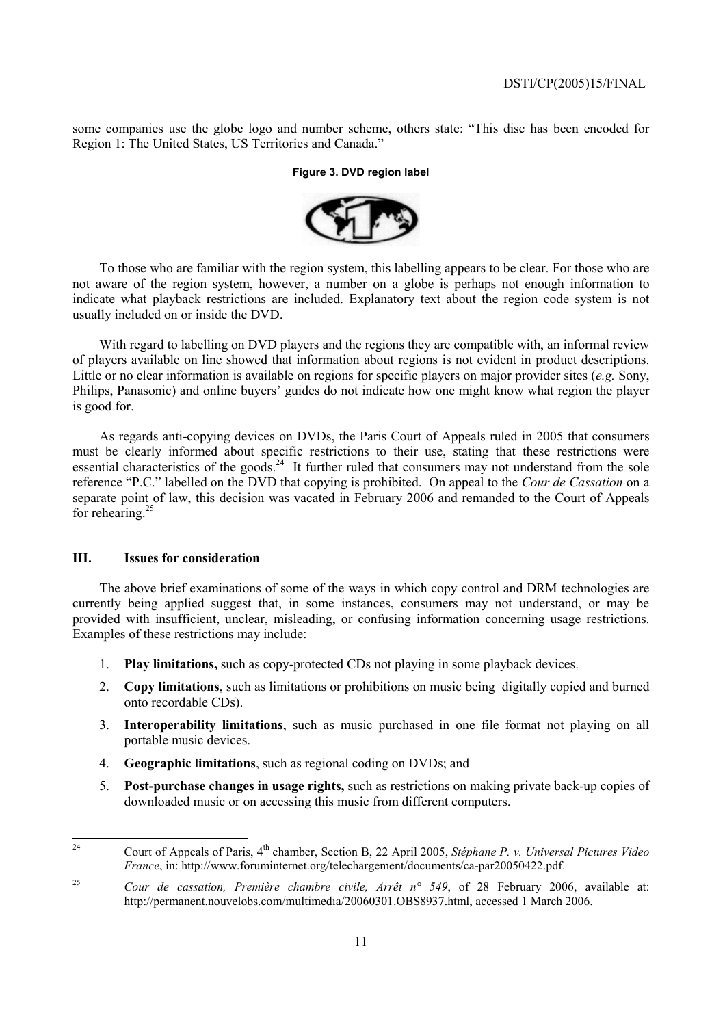some companies use the globe logo and number scheme, others state: "This disc has been encoded for Region 1: The United States, US Territories and Canada.<sup>7</sup>

## **Figure 3. DVD region label**



To those who are familiar with the region system, this labelling appears to be clear. For those who are not aware of the region system, however, a number on a globe is perhaps not enough information to indicate what playback restrictions are included. Explanatory text about the region code system is not usually included on or inside the DVD.

With regard to labelling on DVD players and the regions they are compatible with, an informal review of players available on line showed that information about regions is not evident in product descriptions. Little or no clear information is available on regions for specific players on major provider sites (*e.g.* Sony, Philips, Panasonic) and online buyers' guides do not indicate how one might know what region the player is good for.

As regards anti-copying devices on DVDs, the Paris Court of Appeals ruled in 2005 that consumers must be clearly informed about specific restrictions to their use, stating that these restrictions were essential characteristics of the goods.<sup>24</sup> It further ruled that consumers may not understand from the sole reference "P.C." labelled on the DVD that copying is prohibited. On appeal to the *Cour de Cassation* on a separate point of law, this decision was vacated in February 2006 and remanded to the Court of Appeals for rehearing.<sup>25</sup>

# **III. Issues for consideration**

The above brief examinations of some of the ways in which copy control and DRM technologies are currently being applied suggest that, in some instances, consumers may not understand, or may be provided with insufficient, unclear, misleading, or confusing information concerning usage restrictions. Examples of these restrictions may include:

- 1. **Play limitations,** such as copy-protected CDs not playing in some playback devices.
- 2. **Copy limitations**, such as limitations or prohibitions on music being digitally copied and burned onto recordable CDs).
- 3. **Interoperability limitations**, such as music purchased in one file format not playing on all portable music devices.
- 4. **Geographic limitations**, such as regional coding on DVDs; and
- 5. **Post-purchase changes in usage rights,** such as restrictions on making private back-up copies of downloaded music or on accessing this music from different computers.

 $24$ 24 Court of Appeals of Paris, 4th chamber, Section B, 22 April 2005, *StÈphane P. v. Universal Pictures Video France*, in: http://www.foruminternet.org/telechargement/documents/ca-par20050422.pdf.

<sup>&</sup>lt;sup>25</sup> *Cour de cassation, Première chambre civile, Arrêt n° 549*, of 28 February 2006, available at: http://permanent.nouvelobs.com/multimedia/20060301.OBS8937.html, accessed 1 March 2006.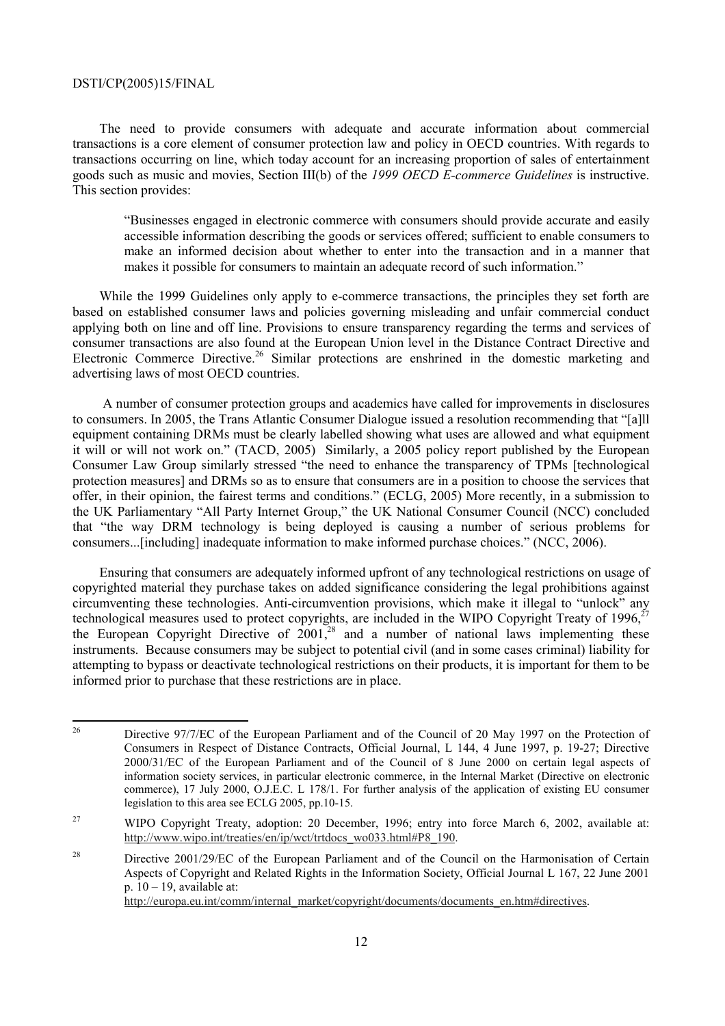The need to provide consumers with adequate and accurate information about commercial transactions is a core element of consumer protection law and policy in OECD countries. With regards to transactions occurring on line, which today account for an increasing proportion of sales of entertainment goods such as music and movies, Section III(b) of the *1999 OECD E-commerce Guidelines* is instructive. This section provides:

ìBusinesses engaged in electronic commerce with consumers should provide accurate and easily accessible information describing the goods or services offered; sufficient to enable consumers to make an informed decision about whether to enter into the transaction and in a manner that makes it possible for consumers to maintain an adequate record of such information.<sup>7</sup>

While the 1999 Guidelines only apply to e-commerce transactions, the principles they set forth are based on established consumer laws and policies governing misleading and unfair commercial conduct applying both on line and off line. Provisions to ensure transparency regarding the terms and services of consumer transactions are also found at the European Union level in the Distance Contract Directive and Electronic Commerce Directive.<sup>26</sup> Similar protections are enshrined in the domestic marketing and advertising laws of most OECD countries.

 A number of consumer protection groups and academics have called for improvements in disclosures to consumers. In 2005, the Trans Atlantic Consumer Dialogue issued a resolution recommending that "[a]ll equipment containing DRMs must be clearly labelled showing what uses are allowed and what equipment it will or will not work on." (TACD, 2005) Similarly, a 2005 policy report published by the European Consumer Law Group similarly stressed "the need to enhance the transparency of TPMs [technological] protection measures] and DRMs so as to ensure that consumers are in a position to choose the services that offer, in their opinion, the fairest terms and conditions.î (ECLG, 2005) More recently, in a submission to the UK Parliamentary "All Party Internet Group," the UK National Consumer Council (NCC) concluded that "the way DRM technology is being deployed is causing a number of serious problems for consumers...[including] inadequate information to make informed purchase choices." (NCC, 2006).

Ensuring that consumers are adequately informed upfront of any technological restrictions on usage of copyrighted material they purchase takes on added significance considering the legal prohibitions against circumventing these technologies. Anti-circumvention provisions, which make it illegal to "unlock" any technological measures used to protect copyrights, are included in the WIPO Copyright Treaty of  $1996$ ,<sup>2</sup> the European Copyright Directive of  $2001<sup>28</sup>$  and a number of national laws implementing these instruments. Because consumers may be subject to potential civil (and in some cases criminal) liability for attempting to bypass or deactivate technological restrictions on their products, it is important for them to be informed prior to purchase that these restrictions are in place.

 $26$ 26 Directive 97/7/EC of the European Parliament and of the Council of 20 May 1997 on the Protection of Consumers in Respect of Distance Contracts, Official Journal, L 144, 4 June 1997, p. 19-27; Directive 2000/31/EC of the European Parliament and of the Council of 8 June 2000 on certain legal aspects of information society services, in particular electronic commerce, in the Internal Market (Directive on electronic commerce), 17 July 2000, O.J.E.C. L 178/1. For further analysis of the application of existing EU consumer legislation to this area see ECLG 2005, pp.10-15.

<sup>&</sup>lt;sup>27</sup> WIPO Copyright Treaty, adoption: 20 December, 1996; entry into force March 6, 2002, available at: http://www.wipo.int/treaties/en/ip/wct/trtdocs\_wo033.html#P8\_190.

<sup>&</sup>lt;sup>28</sup> Directive 2001/29/EC of the European Parliament and of the Council on the Harmonisation of Certain Aspects of Copyright and Related Rights in the Information Society, Official Journal L 167, 22 June 2001 p.  $10 - 19$ , available at: http://europa.eu.int/comm/internal\_market/copyright/documents/documents\_en.htm#directives.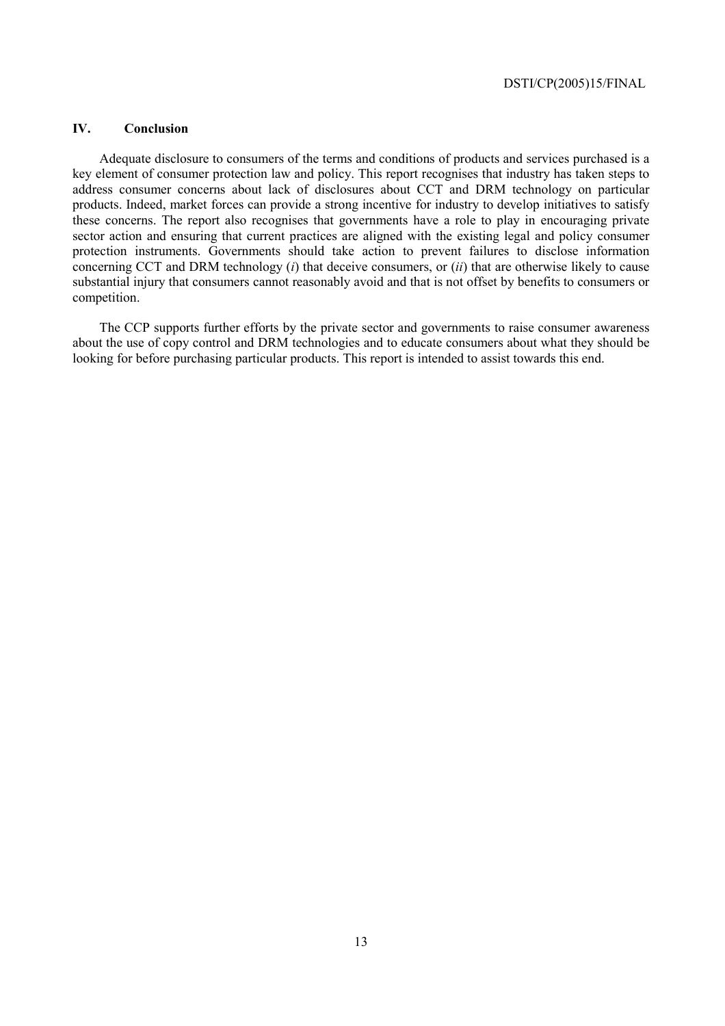# **IV. Conclusion**

Adequate disclosure to consumers of the terms and conditions of products and services purchased is a key element of consumer protection law and policy. This report recognises that industry has taken steps to address consumer concerns about lack of disclosures about CCT and DRM technology on particular products. Indeed, market forces can provide a strong incentive for industry to develop initiatives to satisfy these concerns. The report also recognises that governments have a role to play in encouraging private sector action and ensuring that current practices are aligned with the existing legal and policy consumer protection instruments. Governments should take action to prevent failures to disclose information concerning CCT and DRM technology (*i*) that deceive consumers, or (*ii*) that are otherwise likely to cause substantial injury that consumers cannot reasonably avoid and that is not offset by benefits to consumers or competition.

The CCP supports further efforts by the private sector and governments to raise consumer awareness about the use of copy control and DRM technologies and to educate consumers about what they should be looking for before purchasing particular products. This report is intended to assist towards this end.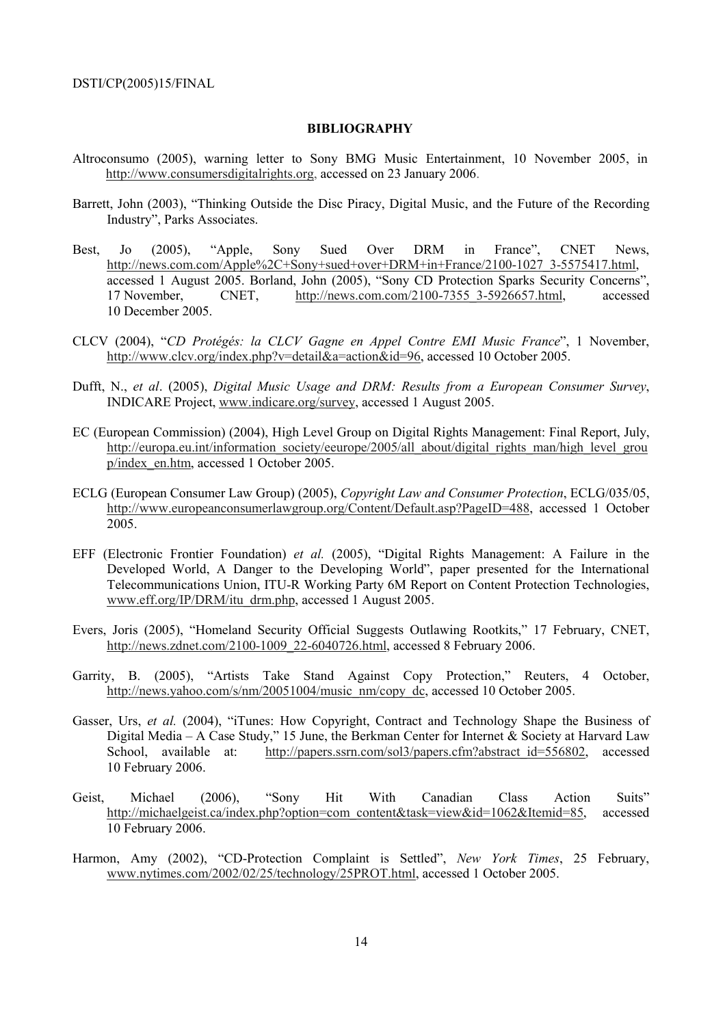#### **BIBLIOGRAPHY**

- Altroconsumo (2005), warning letter to Sony BMG Music Entertainment, 10 November 2005, in http://www.consumersdigitalrights.org, accessed on 23 January 2006.
- Barrett, John (2003), "Thinking Outside the Disc Piracy, Digital Music, and the Future of the Recording Industry", Parks Associates.
- Best, Jo (2005), "Apple, Sony Sued Over DRM in France", CNET News, http://news.com.com/Apple%2C+Sony+sued+over+DRM+in+France/2100-1027\_3-5575417.html, accessed 1 August 2005. Borland, John (2005), "Sony CD Protection Sparks Security Concerns", 17 November, CNET, http://news.com.com/2100-7355\_3-5926657.html, accessed 10 December 2005.
- CLCV (2004), ì*CD ProtÈgÈs: la CLCV Gagne en Appel Contre EMI Music France*î, 1 November, http://www.clcv.org/index.php?v=detail&a=action&id=96, accessed 10 October 2005.
- Dufft, N., *et al*. (2005), *Digital Music Usage and DRM: Results from a European Consumer Survey*, INDICARE Project, www.indicare.org/survey, accessed 1 August 2005.
- EC (European Commission) (2004), High Level Group on Digital Rights Management: Final Report, July, http://europa.eu.int/information\_society/eeurope/2005/all\_about/digital\_rights\_man/high\_level\_grou p/index\_en.htm, accessed 1 October 2005.
- ECLG (European Consumer Law Group) (2005), *Copyright Law and Consumer Protection*, ECLG/035/05, http://www.europeanconsumerlawgroup.org/Content/Default.asp?PageID=488, accessed 1 October 2005.
- EFF (Electronic Frontier Foundation) et al. (2005), "Digital Rights Management: A Failure in the Developed World, A Danger to the Developing World", paper presented for the International Telecommunications Union, ITU-R Working Party 6M Report on Content Protection Technologies, www.eff.org/IP/DRM/itu\_drm.php, accessed 1 August 2005.
- Evers, Joris (2005), "Homeland Security Official Suggests Outlawing Rootkits," 17 February, CNET, http://news.zdnet.com/2100-1009\_22-6040726.html, accessed 8 February 2006.
- Garrity, B. (2005), "Artists Take Stand Against Copy Protection," Reuters, 4 October, http://news.yahoo.com/s/nm/20051004/music\_nm/copy\_dc, accessed 10 October 2005.
- Gasser, Urs, *et al.* (2004), "iTunes: How Copyright, Contract and Technology Shape the Business of Digital Media – A Case Study," 15 June, the Berkman Center for Internet & Society at Harvard Law School, available at: http://papers.ssrn.com/sol3/papers.cfm?abstract\_id=556802, accessed 10 February 2006.
- Geist, Michael (2006), "Sony Hit With Canadian Class Action Suits" http://michaelgeist.ca/index.php?option=com\_content&task=view&id=1062&Itemid=85, accessed 10 February 2006.
- Harmon, Amy (2002), "CD-Protection Complaint is Settled", *New York Times*, 25 February, www.nytimes.com/2002/02/25/technology/25PROT.html, accessed 1 October 2005.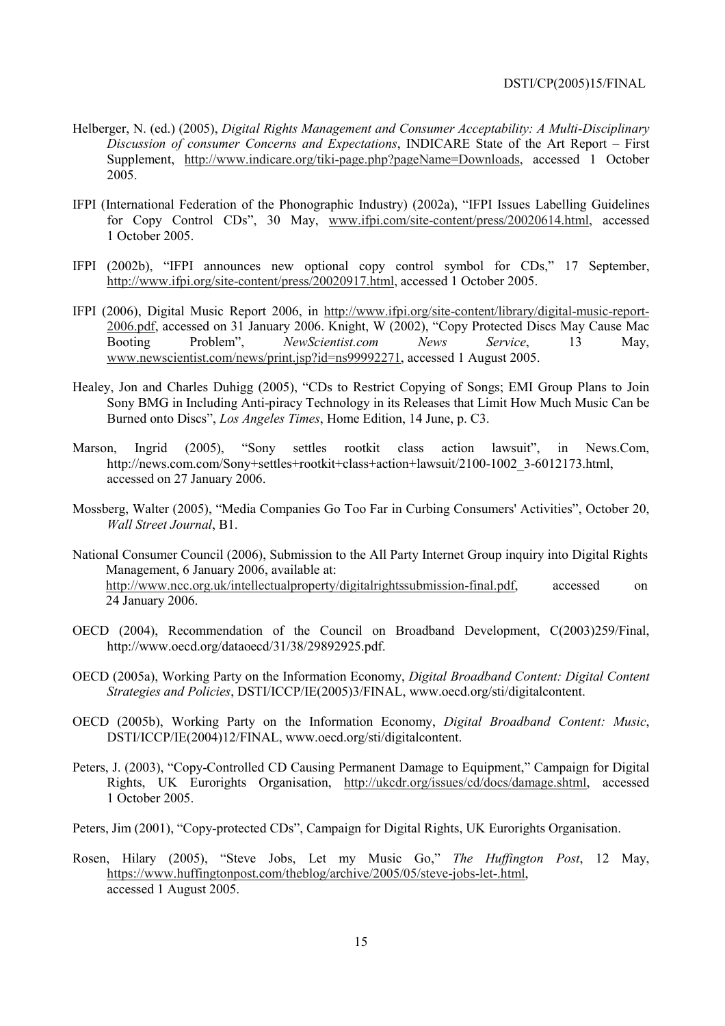- Helberger, N. (ed.) (2005), *Digital Rights Management and Consumer Acceptability: A Multi-Disciplinary Discussion of consumer Concerns and Expectations*, INDICARE State of the Art Report – First Supplement, http://www.indicare.org/tiki-page.php?pageName=Downloads, accessed 1 October 2005.
- IFPI (International Federation of the Phonographic Industry) (2002a), "IFPI Issues Labelling Guidelines for Copy Control CDs", 30 May, www.ifpi.com/site-content/press/20020614.html, accessed 1 October 2005.
- IFPI (2002b), "IFPI announces new optional copy control symbol for CDs," 17 September, http://www.ifpi.org/site-content/press/20020917.html, accessed 1 October 2005.
- IFPI (2006), Digital Music Report 2006, in http://www.ifpi.org/site-content/library/digital-music-report-2006.pdf, accessed on 31 January 2006. Knight, W (2002), "Copy Protected Discs May Cause Mac Booting Problem", New Scientist.com News Service, 13 May, Booting Problemî, *NewScientist.com News Service*, 13 May, www.newscientist.com/news/print.jsp?id=ns99992271, accessed 1 August 2005.
- Healey, Jon and Charles Duhigg (2005), "CDs to Restrict Copying of Songs; EMI Group Plans to Join Sony BMG in Including Anti-piracy Technology in its Releases that Limit How Much Music Can be Burned onto Discsî, *Los Angeles Times*, Home Edition, 14 June, p. C3.
- Marson, Ingrid (2005), "Sony settles rootkit class action lawsuit", in News.Com, http://news.com.com/Sony+settles+rootkit+class+action+lawsuit/2100-1002\_3-6012173.html, accessed on 27 January 2006.
- Mossberg, Walter (2005), "Media Companies Go Too Far in Curbing Consumers' Activities", October 20, *Wall Street Journal*, B1.
- National Consumer Council (2006), Submission to the All Party Internet Group inquiry into Digital Rights Management, 6 January 2006, available at: http://www.ncc.org.uk/intellectualproperty/digitalrightssubmission-final.pdf, accessed on 24 January 2006.
- OECD (2004), Recommendation of the Council on Broadband Development, C(2003)259/Final, http://www.oecd.org/dataoecd/31/38/29892925.pdf.
- OECD (2005a), Working Party on the Information Economy, *Digital Broadband Content: Digital Content Strategies and Policies*, DSTI/ICCP/IE(2005)3/FINAL, www.oecd.org/sti/digitalcontent.
- OECD (2005b), Working Party on the Information Economy, *Digital Broadband Content: Music*, DSTI/ICCP/IE(2004)12/FINAL, www.oecd.org/sti/digitalcontent.
- Peters, J. (2003), "Copy-Controlled CD Causing Permanent Damage to Equipment," Campaign for Digital Rights, UK Eurorights Organisation, http://ukcdr.org/issues/cd/docs/damage.shtml, accessed 1 October 2005.
- Peters, Jim (2001), "Copy-protected CDs", Campaign for Digital Rights, UK Eurorights Organisation.
- Rosen, Hilary (2005), "Steve Jobs, Let my Music Go," The Huffington Post, 12 May, https://www.huffingtonpost.com/theblog/archive/2005/05/steve-jobs-let-.html, accessed 1 August 2005.